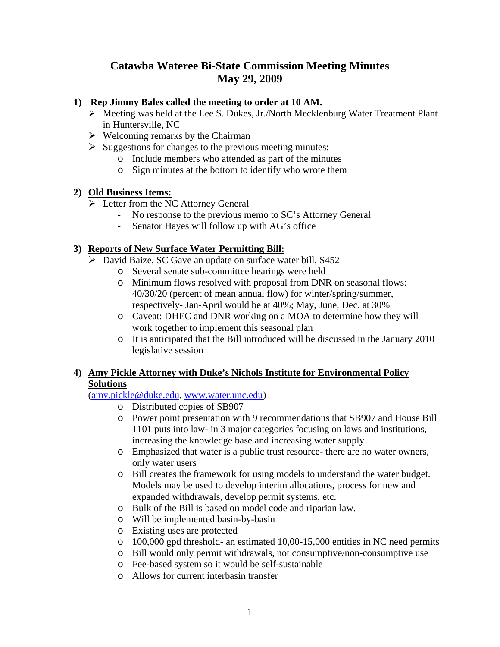# **Catawba Wateree Bi-State Commission Meeting Minutes May 29, 2009**

### **1) Rep Jimmy Bales called the meeting to order at 10 AM.**

- $\triangleright$  Meeting was held at the Lee S. Dukes, Jr./North Mecklenburg Water Treatment Plant in Huntersville, NC
- $\triangleright$  Welcoming remarks by the Chairman
- $\triangleright$  Suggestions for changes to the previous meeting minutes:
	- o Include members who attended as part of the minutes
	- o Sign minutes at the bottom to identify who wrote them

### **2) Old Business Items:**

- $\triangleright$  Letter from the NC Attorney General
	- No response to the previous memo to SC's Attorney General
	- Senator Hayes will follow up with AG's office

# **3) Reports of New Surface Water Permitting Bill:**

- ¾ David Baize, SC Gave an update on surface water bill, S452
	- o Several senate sub-committee hearings were held
	- o Minimum flows resolved with proposal from DNR on seasonal flows: 40/30/20 (percent of mean annual flow) for winter/spring/summer, respectively- Jan-April would be at 40%; May, June, Dec. at 30%
	- o Caveat: DHEC and DNR working on a MOA to determine how they will work together to implement this seasonal plan
	- o It is anticipated that the Bill introduced will be discussed in the January 2010 legislative session

## **4) Amy Pickle Attorney with Duke's Nichols Institute for Environmental Policy Solutions**

(amy.pickle@duke.edu, www.water.unc.edu)

- o Distributed copies of SB907
- o Power point presentation with 9 recommendations that SB907 and House Bill 1101 puts into law- in 3 major categories focusing on laws and institutions, increasing the knowledge base and increasing water supply
- o Emphasized that water is a public trust resource- there are no water owners, only water users
- o Bill creates the framework for using models to understand the water budget. Models may be used to develop interim allocations, process for new and expanded withdrawals, develop permit systems, etc.
- o Bulk of the Bill is based on model code and riparian law.
- o Will be implemented basin-by-basin
- o Existing uses are protected
- o 100,000 gpd threshold- an estimated 10,00-15,000 entities in NC need permits
- o Bill would only permit withdrawals, not consumptive/non-consumptive use
- o Fee-based system so it would be self-sustainable
- o Allows for current interbasin transfer